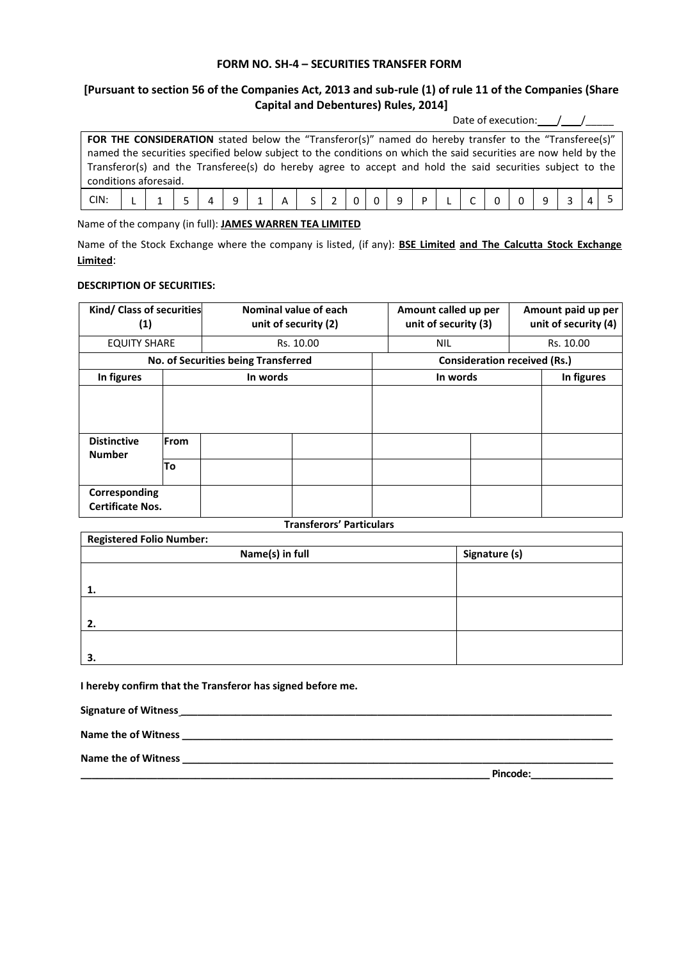## **FORM NO. SH-4 – SECURITIES TRANSFER FORM**

## **[Pursuant to section 56 of the Companies Act, 2013 and sub-rule (1) of rule 11 of the Companies (Share Capital and Debentures) Rules, 2014]**

Date of execution: $\sqrt{2}$ 

| FOR THE CONSIDERATION stated below the "Transferor(s)" named do hereby transfer to the "Transferee(s)"          |  |  |  |  |  |  |  |  |  |  |  |  |  |  |  |  |
|-----------------------------------------------------------------------------------------------------------------|--|--|--|--|--|--|--|--|--|--|--|--|--|--|--|--|
| named the securities specified below subject to the conditions on which the said securities are now held by the |  |  |  |  |  |  |  |  |  |  |  |  |  |  |  |  |
| Transferor(s) and the Transferee(s) do hereby agree to accept and hold the said securities subject to the       |  |  |  |  |  |  |  |  |  |  |  |  |  |  |  |  |
| conditions aforesaid.                                                                                           |  |  |  |  |  |  |  |  |  |  |  |  |  |  |  |  |
|                                                                                                                 |  |  |  |  |  |  |  |  |  |  |  |  |  |  |  |  |

Name of the company (in full): **JAMES WARREN TEA LIMITED**

Name of the Stock Exchange where the company is listed, (if any): **BSE Limited and The Calcutta Stock Exchange Limited**:

## **DESCRIPTION OF SECURITIES:**

| Kind/ Class of securities<br>(1)    |                                          |                                     | Nominal value of each<br>unit of security (2) | Amount called up per<br>unit of security (3) |  | Amount paid up per<br>unit of security (4) |            |  |
|-------------------------------------|------------------------------------------|-------------------------------------|-----------------------------------------------|----------------------------------------------|--|--------------------------------------------|------------|--|
| <b>EQUITY SHARE</b>                 |                                          |                                     | Rs. 10.00                                     | <b>NIL</b>                                   |  | Rs. 10.00                                  |            |  |
|                                     |                                          | No. of Securities being Transferred |                                               | <b>Consideration received (Rs.)</b>          |  |                                            |            |  |
| In figures                          |                                          | In words                            |                                               | In words                                     |  |                                            | In figures |  |
| <b>Distinctive</b><br><b>Number</b> | <b>From</b>                              |                                     |                                               |                                              |  |                                            |            |  |
|                                     | To                                       |                                     |                                               |                                              |  |                                            |            |  |
|                                     | Corresponding<br><b>Certificate Nos.</b> |                                     |                                               |                                              |  |                                            |            |  |

## **Transferors' Particulars**

| <b>Transferors' Particulars</b> |                 |               |  |  |  |  |  |
|---------------------------------|-----------------|---------------|--|--|--|--|--|
| <b>Registered Folio Number:</b> |                 |               |  |  |  |  |  |
|                                 | Name(s) in full | Signature (s) |  |  |  |  |  |
|                                 |                 |               |  |  |  |  |  |
|                                 |                 |               |  |  |  |  |  |
|                                 |                 |               |  |  |  |  |  |
| 2.                              |                 |               |  |  |  |  |  |
|                                 |                 |               |  |  |  |  |  |
| З.                              |                 |               |  |  |  |  |  |

**I hereby confirm that the Transferor has signed before me.**

**Signature of Witness \_\_\_\_\_\_\_\_\_\_\_\_\_\_\_\_\_\_\_\_\_\_\_\_\_\_\_\_\_\_\_\_\_\_\_\_\_\_\_\_\_\_\_\_\_\_\_\_\_\_\_\_\_\_\_\_\_\_\_\_\_\_\_\_\_\_\_\_\_\_\_\_\_\_\_\_\_\_\_**

**Name the of Witness \_\_\_\_\_\_\_\_\_\_\_\_\_\_\_\_\_\_\_\_\_\_\_\_\_\_\_\_\_\_\_\_\_\_\_\_\_\_\_\_\_\_\_\_\_\_\_\_\_\_\_\_\_\_\_\_\_\_\_\_\_\_\_\_\_\_\_\_\_\_\_\_\_\_\_\_\_\_\_**

**Name the of Witness \_\_\_\_\_\_\_\_\_\_\_\_\_\_\_\_\_\_\_\_\_\_\_\_\_\_\_\_\_\_\_\_\_\_\_\_\_\_\_\_\_\_\_\_\_\_\_\_\_\_\_\_\_\_\_\_\_\_\_\_\_\_\_\_\_\_\_\_\_\_\_\_\_\_\_\_\_\_\_** 

 $\blacksquare$  Pincode: